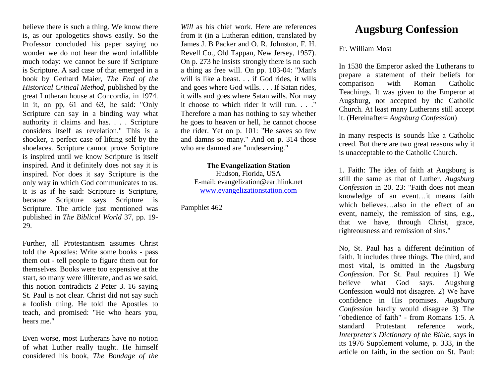believe there is such a thing. We know there is, as our apologetics shows easily. So the Professor concluded his paper saying no wonder we do not hear the word infallible much today: we cannot be sure if Scripture is Scripture. A sad case of that emerged in a book by Gerhard Maier, *The End of the Historical Critical Method*, published by the great Lutheran house at Concordia, in 1974. In it, on pp, 61 and 63, he said: "Only Scripture can say in a binding way what authority it claims and has. . . . Scripture considers itself as revelation." This is a shocker, a perfect case of lifting self by the shoelaces. Scripture cannot prove Scripture is inspired until we know Scripture is itself inspired. And it definitely does not say it is inspired. Nor does it say Scripture is the only way in which God communicates to us. It is as if he said: Scripture is Scripture, because Scripture says Scripture is Scripture. The article just mentioned was published in *The Biblical World* 37, pp. 19- 29.

Further, all Protestantism assumes Christ told the Apostles: Write some books - pass them out - tell people to figure them out for themselves. Books were too expensive at the start, so many were illiterate, and as we said, this notion contradicts 2 Peter 3. 16 saying St. Paul is not clear. Christ did not say such a foolish thing. He told the Apostles to teach, and promised: "He who hears you, hears me."

Even worse, most Lutherans have no notion of what Luther really taught. He himself considered his book, *The Bondage of the* 

*Will* as his chief work. Here are references from it (in a Lutheran edition, translated by James J. B Packer and O. R. Johnston, F. H. Revell Co., Old Tappan, New Jersey, 1957). On p. 273 he insists strongly there is no such a thing as free will. On pp. 103-04: "Man's will is like a beast. . . if God rides, it wills and goes where God wills. . . . If Satan rides, it wills and goes where Satan wills. Nor may it choose to which rider it will run. . . ." Therefore a man has nothing to say whether he goes to heaven or hell, he cannot choose the rider. Yet on p. 101: "He saves so few and damns so many." And on p. 314 those who are damned are "undeserving."

**The Evangelization Station** Hudson, Florida, USA E-mail: evangelization@earthlink.net [www.evangelizationstation.com](http://www.pjpiisoe.org/)

Pamphlet 462

## **Augsburg Confession**

## Fr. William Most

In 1530 the Emperor asked the Lutherans to prepare a statement of their beliefs for comparison with Roman Catholic Teachings. It was given to the Emperor at Augsburg, not accepted by the Catholic Church. At least many Lutherans still accept it. (Hereinafter= *Augsburg Confession*)

In many respects is sounds like a Catholic creed. But there are two great reasons why it is unacceptable to the Catholic Church.

1. Faith: The idea of faith at Augsburg is still the same as that of Luther. *Augsburg Confession* in 20. 23: "Faith does not mean knowledge of an event…it means faith which believes…also in the effect of an event, namely, the remission of sins, e.g., that we have, through Christ, grace, righteousness and remission of sins."

No, St. Paul has a different definition of faith. It includes three things. The third, and most vital, is omitted in the *Augsburg Confession*. For St. Paul requires 1) We believe what God says. Augsburg Confession would not disagree. 2) We have confidence in His promises. *Augsburg Confession* hardly would disagree 3) The "obedience of faith" - from Romans 1:5. A standard Protestant reference work, *Interpreter's Dictionary of the Bible*, says in its 1976 Supplement volume, p. 333, in the article on faith, in the section on St. Paul: